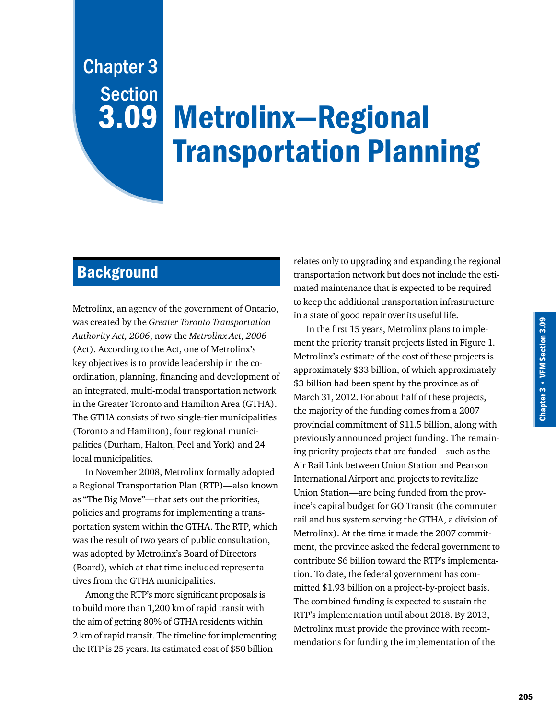# Chapter 3 Section 3.09

# Metrolinx—Regional Transportation Planning

# **Background**

Metrolinx, an agency of the government of Ontario, was created by the *Greater Toronto Transportation Authority Act, 2006*, now the *Metrolinx Act, 2006* (Act). According to the Act, one of Metrolinx's key objectives is to provide leadership in the coordination, planning, financing and development of an integrated, multi-modal transportation network in the Greater Toronto and Hamilton Area (GTHA). The GTHA consists of two single-tier municipalities (Toronto and Hamilton), four regional municipalities (Durham, Halton, Peel and York) and 24 local municipalities.

In November 2008, Metrolinx formally adopted a Regional Transportation Plan (RTP)—also known as "The Big Move"—that sets out the priorities, policies and programs for implementing a transportation system within the GTHA. The RTP, which was the result of two years of public consultation, was adopted by Metrolinx's Board of Directors (Board), which at that time included representatives from the GTHA municipalities.

Among the RTP's more significant proposals is to build more than 1,200 km of rapid transit with the aim of getting 80% of GTHA residents within 2 km of rapid transit. The timeline for implementing the RTP is 25 years. Its estimated cost of \$50 billion

relates only to upgrading and expanding the regional transportation network but does not include the estimated maintenance that is expected to be required to keep the additional transportation infrastructure in a state of good repair over its useful life.

In the first 15 years, Metrolinx plans to implement the priority transit projects listed in Figure 1. Metrolinx's estimate of the cost of these projects is approximately \$33 billion, of which approximately \$3 billion had been spent by the province as of March 31, 2012. For about half of these projects, the majority of the funding comes from a 2007 provincial commitment of \$11.5 billion, along with previously announced project funding. The remaining priority projects that are funded—such as the Air Rail Link between Union Station and Pearson International Airport and projects to revitalize Union Station—are being funded from the province's capital budget for GO Transit (the commuter rail and bus system serving the GTHA, a division of Metrolinx). At the time it made the 2007 commitment, the province asked the federal government to contribute \$6 billion toward the RTP's implementation. To date, the federal government has committed \$1.93 billion on a project-by-project basis. The combined funding is expected to sustain the RTP's implementation until about 2018. By 2013, Metrolinx must provide the province with recommendations for funding the implementation of the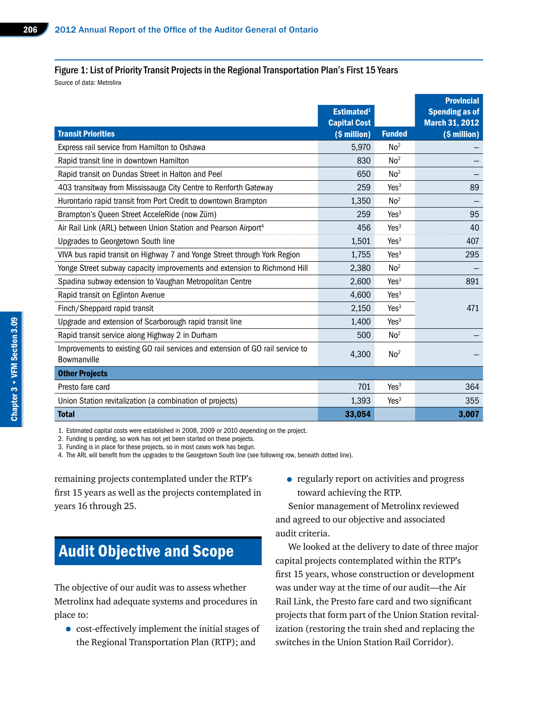# Figure 1: List of Priority Transit Projects in the Regional Transportation Plan's First 15 Years

Source of data: Metrolinx

|                                                                                              | Estimated <sup>1</sup> |                  | <b>Provincial</b><br><b>Spending as of</b> |
|----------------------------------------------------------------------------------------------|------------------------|------------------|--------------------------------------------|
|                                                                                              | <b>Capital Cost</b>    |                  | <b>March 31, 2012</b>                      |
| <b>Transit Priorities</b>                                                                    | (\$ million)           | <b>Funded</b>    | (\$ million)                               |
| Express rail service from Hamilton to Oshawa                                                 | 5,970                  | No <sup>2</sup>  |                                            |
| Rapid transit line in downtown Hamilton                                                      | 830                    | No <sup>2</sup>  |                                            |
| Rapid transit on Dundas Street in Halton and Peel                                            | 650                    | No <sup>2</sup>  |                                            |
| 403 transitway from Mississauga City Centre to Renforth Gateway                              | 259                    | Yes <sup>3</sup> | 89                                         |
| Hurontario rapid transit from Port Credit to downtown Brampton                               | 1,350                  | No <sup>2</sup>  |                                            |
| Brampton's Queen Street AcceleRide (now Züm)                                                 | 259                    | Yes <sup>3</sup> | 95                                         |
| Air Rail Link (ARL) between Union Station and Pearson Airport <sup>4</sup>                   | 456                    | Yes <sup>3</sup> | 40                                         |
| Upgrades to Georgetown South line                                                            | 1,501                  | Yes <sup>3</sup> | 407                                        |
| VIVA bus rapid transit on Highway 7 and Yonge Street through York Region                     | 1,755                  | Yes <sup>3</sup> | 295                                        |
| Yonge Street subway capacity improvements and extension to Richmond Hill                     | 2,380                  | No <sup>2</sup>  |                                            |
| Spadina subway extension to Vaughan Metropolitan Centre                                      | 2,600                  | Yes <sup>3</sup> | 891                                        |
| Rapid transit on Eglinton Avenue                                                             | 4,600                  | Yes <sup>3</sup> |                                            |
| Finch/Sheppard rapid transit                                                                 | 2,150                  | Yes <sup>3</sup> | 471                                        |
| Upgrade and extension of Scarborough rapid transit line                                      | 1,400                  | Yes <sup>3</sup> |                                            |
| Rapid transit service along Highway 2 in Durham                                              | 500                    | No <sup>2</sup>  |                                            |
| Improvements to existing GO rail services and extension of GO rail service to<br>Bowmanville | 4,300                  | No <sup>2</sup>  |                                            |
| <b>Other Projects</b>                                                                        |                        |                  |                                            |
| Presto fare card                                                                             | 701                    | Yes <sup>3</sup> | 364                                        |
| Union Station revitalization (a combination of projects)                                     | 1,393                  | Yes <sup>3</sup> | 355                                        |
| <b>Total</b>                                                                                 | 33,054                 |                  | 3,007                                      |

1. Estimated capital costs were established in 2008, 2009 or 2010 depending on the project.

2. Funding is pending, so work has not yet been started on these projects.

3. Funding is in place for these projects, so in most cases work has begun.

4. The ARL will benefit from the upgrades to the Georgetown South line (see following row, beneath dotted line).

remaining projects contemplated under the RTP's first 15 years as well as the projects contemplated in years 16 through 25.

# Audit Objective and Scope

The objective of our audit was to assess whether Metrolinx had adequate systems and procedures in place to:

• cost-effectively implement the initial stages of the Regional Transportation Plan (RTP); and

• regularly report on activities and progress toward achieving the RTP.

Senior management of Metrolinx reviewed and agreed to our objective and associated audit criteria.

We looked at the delivery to date of three major capital projects contemplated within the RTP's first 15 years, whose construction or development was under way at the time of our audit—the Air Rail Link, the Presto fare card and two significant projects that form part of the Union Station revitalization (restoring the train shed and replacing the switches in the Union Station Rail Corridor).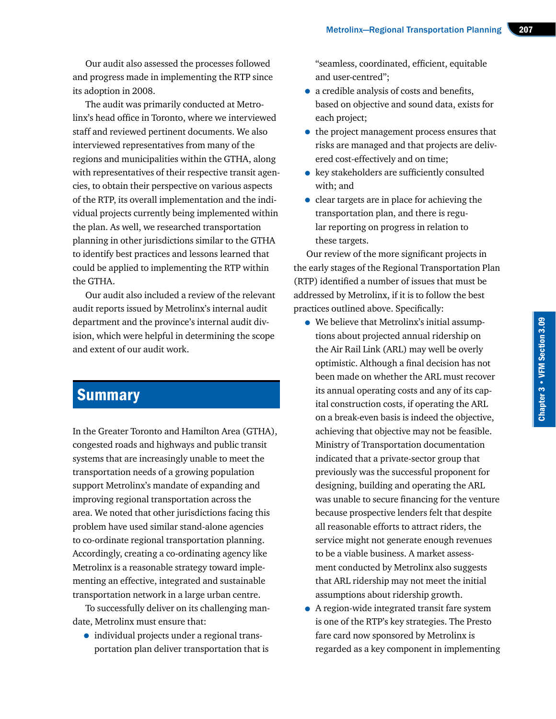Our audit also assessed the processes followed and progress made in implementing the RTP since its adoption in 2008.

The audit was primarily conducted at Metrolinx's head office in Toronto, where we interviewed staff and reviewed pertinent documents. We also interviewed representatives from many of the regions and municipalities within the GTHA, along with representatives of their respective transit agencies, to obtain their perspective on various aspects of the RTP, its overall implementation and the individual projects currently being implemented within the plan. As well, we researched transportation planning in other jurisdictions similar to the GTHA to identify best practices and lessons learned that could be applied to implementing the RTP within the GTHA.

Our audit also included a review of the relevant audit reports issued by Metrolinx's internal audit department and the province's internal audit division, which were helpful in determining the scope and extent of our audit work.

# **Summary**

In the Greater Toronto and Hamilton Area (GTHA), congested roads and highways and public transit systems that are increasingly unable to meet the transportation needs of a growing population support Metrolinx's mandate of expanding and improving regional transportation across the area. We noted that other jurisdictions facing this problem have used similar stand-alone agencies to co-ordinate regional transportation planning. Accordingly, creating a co-ordinating agency like Metrolinx is a reasonable strategy toward implementing an effective, integrated and sustainable transportation network in a large urban centre.

To successfully deliver on its challenging mandate, Metrolinx must ensure that:

• individual projects under a regional transportation plan deliver transportation that is

"seamless, coordinated, efficient, equitable and user-centred";

- a credible analysis of costs and benefits, based on objective and sound data, exists for each project;
- the project management process ensures that risks are managed and that projects are delivered cost-effectively and on time;
- key stakeholders are sufficiently consulted with; and
- clear targets are in place for achieving the transportation plan, and there is regular reporting on progress in relation to these targets.

Our review of the more significant projects in the early stages of the Regional Transportation Plan (RTP) identified a number of issues that must be addressed by Metrolinx, if it is to follow the best practices outlined above. Specifically:

- We believe that Metrolinx's initial assumptions about projected annual ridership on the Air Rail Link (ARL) may well be overly optimistic. Although a final decision has not been made on whether the ARL must recover its annual operating costs and any of its capital construction costs, if operating the ARL on a break-even basis is indeed the objective, achieving that objective may not be feasible. Ministry of Transportation documentation indicated that a private-sector group that previously was the successful proponent for designing, building and operating the ARL was unable to secure financing for the venture because prospective lenders felt that despite all reasonable efforts to attract riders, the service might not generate enough revenues to be a viable business. A market assessment conducted by Metrolinx also suggests that ARL ridership may not meet the initial assumptions about ridership growth.
- A region-wide integrated transit fare system is one of the RTP's key strategies. The Presto fare card now sponsored by Metrolinx is regarded as a key component in implementing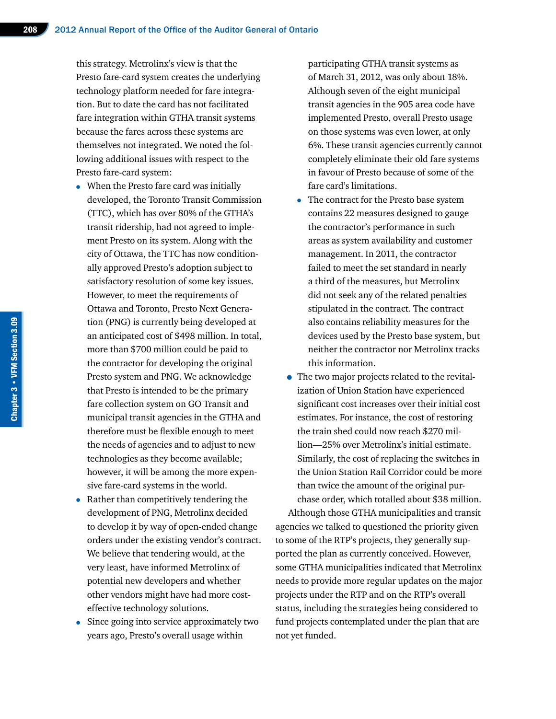this strategy. Metrolinx's view is that the Presto fare-card system creates the underlying technology platform needed for fare integration. But to date the card has not facilitated fare integration within GTHA transit systems because the fares across these systems are themselves not integrated. We noted the following additional issues with respect to the Presto fare-card system:

- When the Presto fare card was initially developed, the Toronto Transit Commission (TTC), which has over 80% of the GTHA's transit ridership, had not agreed to implement Presto on its system. Along with the city of Ottawa, the TTC has now conditionally approved Presto's adoption subject to satisfactory resolution of some key issues. However, to meet the requirements of Ottawa and Toronto, Presto Next Generation (PNG) is currently being developed at an anticipated cost of \$498 million. In total, more than \$700 million could be paid to the contractor for developing the original Presto system and PNG. We acknowledge that Presto is intended to be the primary fare collection system on GO Transit and municipal transit agencies in the GTHA and therefore must be flexible enough to meet the needs of agencies and to adjust to new technologies as they become available; however, it will be among the more expensive fare-card systems in the world.
- Rather than competitively tendering the development of PNG, Metrolinx decided to develop it by way of open-ended change orders under the existing vendor's contract. We believe that tendering would, at the very least, have informed Metrolinx of potential new developers and whether other vendors might have had more costeffective technology solutions.
- Since going into service approximately two years ago, Presto's overall usage within

participating GTHA transit systems as of March 31, 2012, was only about 18%. Although seven of the eight municipal transit agencies in the 905 area code have implemented Presto, overall Presto usage on those systems was even lower, at only 6%. These transit agencies currently cannot completely eliminate their old fare systems in favour of Presto because of some of the fare card's limitations.

- The contract for the Presto base system contains 22 measures designed to gauge the contractor's performance in such areas as system availability and customer management. In 2011, the contractor failed to meet the set standard in nearly a third of the measures, but Metrolinx did not seek any of the related penalties stipulated in the contract. The contract also contains reliability measures for the devices used by the Presto base system, but neither the contractor nor Metrolinx tracks this information.
- The two major projects related to the revitalization of Union Station have experienced significant cost increases over their initial cost estimates. For instance, the cost of restoring the train shed could now reach \$270 million—25% over Metrolinx's initial estimate. Similarly, the cost of replacing the switches in the Union Station Rail Corridor could be more than twice the amount of the original purchase order, which totalled about \$38 million.

Although those GTHA municipalities and transit agencies we talked to questioned the priority given to some of the RTP's projects, they generally supported the plan as currently conceived. However, some GTHA municipalities indicated that Metrolinx needs to provide more regular updates on the major projects under the RTP and on the RTP's overall status, including the strategies being considered to fund projects contemplated under the plan that are not yet funded.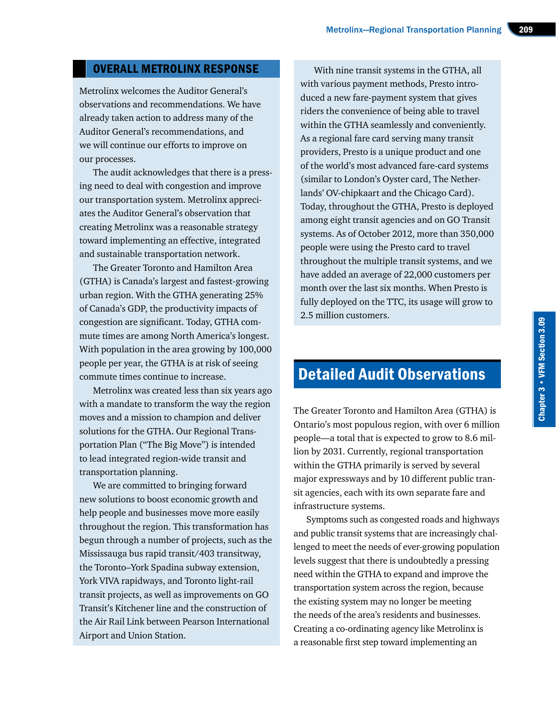# OVERALL METROLINX RESPONSE

Metrolinx welcomes the Auditor General's observations and recommendations. We have already taken action to address many of the Auditor General's recommendations, and we will continue our efforts to improve on our processes.

The audit acknowledges that there is a pressing need to deal with congestion and improve our transportation system. Metrolinx appreciates the Auditor General's observation that creating Metrolinx was a reasonable strategy toward implementing an effective, integrated and sustainable transportation network.

The Greater Toronto and Hamilton Area (GTHA) is Canada's largest and fastest-growing urban region. With the GTHA generating 25% of Canada's GDP, the productivity impacts of congestion are significant. Today, GTHA commute times are among North America's longest. With population in the area growing by 100,000 people per year, the GTHA is at risk of seeing commute times continue to increase.

Metrolinx was created less than six years ago with a mandate to transform the way the region moves and a mission to champion and deliver solutions for the GTHA. Our Regional Transportation Plan ("The Big Move") is intended to lead integrated region-wide transit and transportation planning.

We are committed to bringing forward new solutions to boost economic growth and help people and businesses move more easily throughout the region. This transformation has begun through a number of projects, such as the Mississauga bus rapid transit/403 transitway, the Toronto–York Spadina subway extension, York VIVA rapidways, and Toronto light-rail transit projects, as well as improvements on GO Transit's Kitchener line and the construction of the Air Rail Link between Pearson International Airport and Union Station.

With nine transit systems in the GTHA, all with various payment methods, Presto introduced a new fare-payment system that gives riders the convenience of being able to travel within the GTHA seamlessly and conveniently. As a regional fare card serving many transit providers, Presto is a unique product and one of the world's most advanced fare-card systems (similar to London's Oyster card, The Netherlands' OV-chipkaart and the Chicago Card). Today, throughout the GTHA, Presto is deployed among eight transit agencies and on GO Transit systems. As of October 2012, more than 350,000 people were using the Presto card to travel throughout the multiple transit systems, and we have added an average of 22,000 customers per month over the last six months. When Presto is fully deployed on the TTC, its usage will grow to 2.5 million customers.

# Detailed Audit Observations

The Greater Toronto and Hamilton Area (GTHA) is Ontario's most populous region, with over 6 million people—a total that is expected to grow to 8.6 million by 2031. Currently, regional transportation within the GTHA primarily is served by several major expressways and by 10 different public transit agencies, each with its own separate fare and infrastructure systems.

Symptoms such as congested roads and highways and public transit systems that are increasingly challenged to meet the needs of ever-growing population levels suggest that there is undoubtedly a pressing need within the GTHA to expand and improve the transportation system across the region, because the existing system may no longer be meeting the needs of the area's residents and businesses. Creating a co-ordinating agency like Metrolinx is a reasonable first step toward implementing an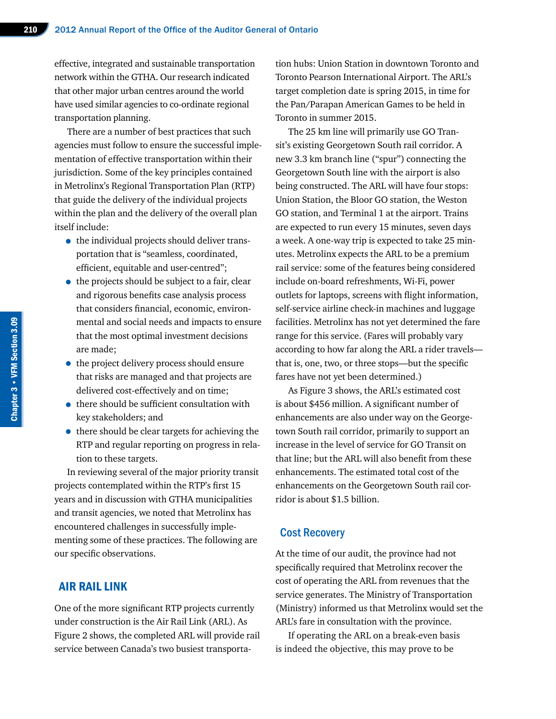effective, integrated and sustainable transportation network within the GTHA. Our research indicated that other major urban centres around the world have used similar agencies to co-ordinate regional transportation planning.

There are a number of best practices that such agencies must follow to ensure the successful implementation of effective transportation within their jurisdiction. Some of the key principles contained in Metrolinx's Regional Transportation Plan (RTP) that guide the delivery of the individual projects within the plan and the delivery of the overall plan itself include:

- the individual projects should deliver transportation that is "seamless, coordinated, efficient, equitable and user-centred";
- the projects should be subject to a fair, clear and rigorous benefits case analysis process that considers financial, economic, environmental and social needs and impacts to ensure that the most optimal investment decisions are made;
- the project delivery process should ensure that risks are managed and that projects are delivered cost-effectively and on time;
- there should be sufficient consultation with key stakeholders; and
- there should be clear targets for achieving the RTP and regular reporting on progress in relation to these targets.

In reviewing several of the major priority transit projects contemplated within the RTP's first 15 years and in discussion with GTHA municipalities and transit agencies, we noted that Metrolinx has encountered challenges in successfully implementing some of these practices. The following are our specific observations.

# AIR RAIL LINK

One of the more significant RTP projects currently under construction is the Air Rail Link (ARL). As Figure 2 shows, the completed ARL will provide rail service between Canada's two busiest transportation hubs: Union Station in downtown Toronto and Toronto Pearson International Airport. The ARL's target completion date is spring 2015, in time for the Pan/Parapan American Games to be held in Toronto in summer 2015.

The 25 km line will primarily use GO Transit's existing Georgetown South rail corridor. A new 3.3 km branch line ("spur") connecting the Georgetown South line with the airport is also being constructed. The ARL will have four stops: Union Station, the Bloor GO station, the Weston GO station, and Terminal 1 at the airport. Trains are expected to run every 15 minutes, seven days a week. A one-way trip is expected to take 25 minutes. Metrolinx expects the ARL to be a premium rail service: some of the features being considered include on-board refreshments, Wi-Fi, power outlets for laptops, screens with flight information, self-service airline check-in machines and luggage facilities. Metrolinx has not yet determined the fare range for this service. (Fares will probably vary according to how far along the ARL a rider travels that is, one, two, or three stops—but the specific fares have not yet been determined.)

As Figure 3 shows, the ARL's estimated cost is about \$456 million. A significant number of enhancements are also under way on the Georgetown South rail corridor, primarily to support an increase in the level of service for GO Transit on that line; but the ARL will also benefit from these enhancements. The estimated total cost of the enhancements on the Georgetown South rail corridor is about \$1.5 billion.

#### Cost Recovery

At the time of our audit, the province had not specifically required that Metrolinx recover the cost of operating the ARL from revenues that the service generates. The Ministry of Transportation (Ministry) informed us that Metrolinx would set the ARL's fare in consultation with the province.

If operating the ARL on a break-even basis is indeed the objective, this may prove to be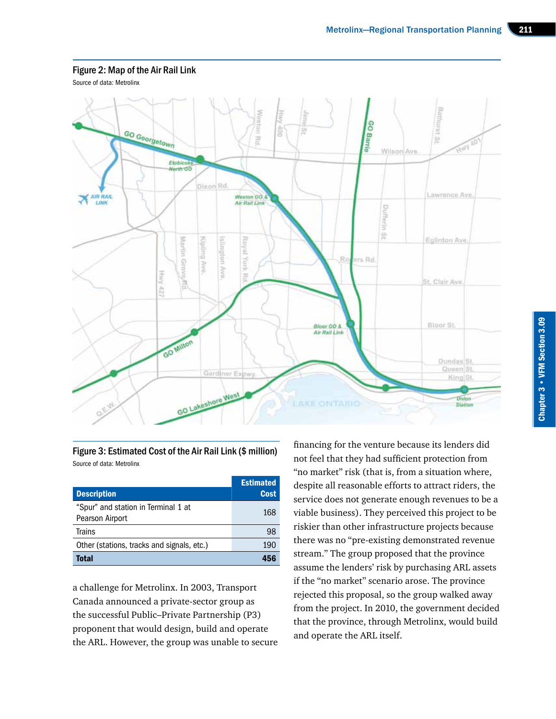#### Figure 2: Map of the Air Rail Link

Source of data: Metrolinx



Figure 3: Estimated Cost of the Air Rail Link (\$ million) Source of data: Metrolinx

| <b>Description</b>                                     | <b>Estimated</b><br><b>Cost</b> |
|--------------------------------------------------------|---------------------------------|
| "Spur" and station in Terminal 1 at<br>Pearson Airport | 168                             |
| <b>Trains</b>                                          | 98                              |
| Other (stations, tracks and signals, etc.)             | 190                             |
| Total                                                  |                                 |

a challenge for Metrolinx. In 2003, Transport Canada announced a private-sector group as the successful Public–Private Partnership (P3) proponent that would design, build and operate the ARL. However, the group was unable to secure

financing for the venture because its lenders did not feel that they had sufficient protection from "no market" risk (that is, from a situation where, despite all reasonable efforts to attract riders, the service does not generate enough revenues to be a viable business). They perceived this project to be riskier than other infrastructure projects because there was no "pre-existing demonstrated revenue stream." The group proposed that the province assume the lenders' risk by purchasing ARL assets if the "no market" scenario arose. The province rejected this proposal, so the group walked away from the project. In 2010, the government decided that the province, through Metrolinx, would build and operate the ARL itself.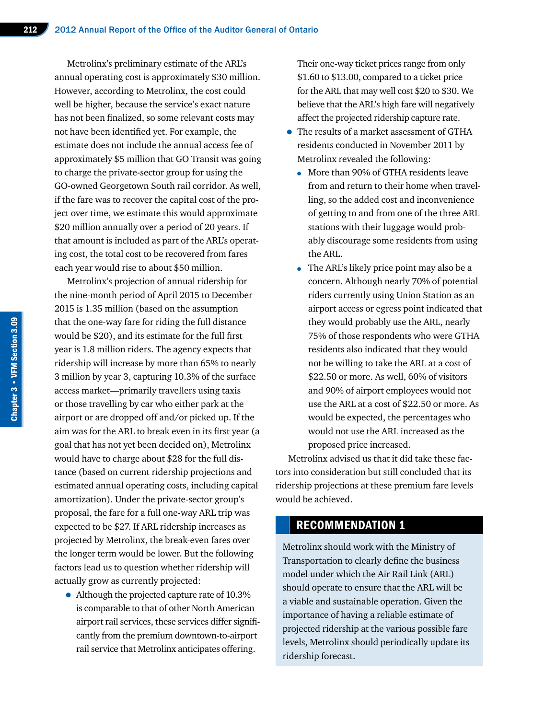Metrolinx's preliminary estimate of the ARL's annual operating cost is approximately \$30 million. However, according to Metrolinx, the cost could well be higher, because the service's exact nature has not been finalized, so some relevant costs may not have been identified yet. For example, the estimate does not include the annual access fee of approximately \$5 million that GO Transit was going to charge the private-sector group for using the GO-owned Georgetown South rail corridor. As well, if the fare was to recover the capital cost of the project over time, we estimate this would approximate \$20 million annually over a period of 20 years. If that amount is included as part of the ARL's operating cost, the total cost to be recovered from fares each year would rise to about \$50 million.

Metrolinx's projection of annual ridership for the nine-month period of April 2015 to December 2015 is 1.35 million (based on the assumption that the one-way fare for riding the full distance would be \$20), and its estimate for the full first year is 1.8 million riders. The agency expects that ridership will increase by more than 65% to nearly 3 million by year 3, capturing 10.3% of the surface access market—primarily travellers using taxis or those travelling by car who either park at the airport or are dropped off and/or picked up. If the aim was for the ARL to break even in its first year (a goal that has not yet been decided on), Metrolinx would have to charge about \$28 for the full distance (based on current ridership projections and estimated annual operating costs, including capital amortization). Under the private-sector group's proposal, the fare for a full one-way ARL trip was expected to be \$27. If ARL ridership increases as projected by Metrolinx, the break-even fares over the longer term would be lower. But the following factors lead us to question whether ridership will actually grow as currently projected:

• Although the projected capture rate of 10.3% is comparable to that of other North American airport rail services, these services differ significantly from the premium downtown-to-airport rail service that Metrolinx anticipates offering.

Their one-way ticket prices range from only \$1.60 to \$13.00, compared to a ticket price for the ARL that may well cost \$20 to \$30. We believe that the ARL's high fare will negatively affect the projected ridership capture rate.

- The results of a market assessment of GTHA residents conducted in November 2011 by Metrolinx revealed the following:
	- More than 90% of GTHA residents leave from and return to their home when travelling, so the added cost and inconvenience of getting to and from one of the three ARL stations with their luggage would probably discourage some residents from using the ARL.
	- The ARL's likely price point may also be a concern. Although nearly 70% of potential riders currently using Union Station as an airport access or egress point indicated that they would probably use the ARL, nearly 75% of those respondents who were GTHA residents also indicated that they would not be willing to take the ARL at a cost of \$22.50 or more. As well, 60% of visitors and 90% of airport employees would not use the ARL at a cost of \$22.50 or more. As would be expected, the percentages who would not use the ARL increased as the proposed price increased.

Metrolinx advised us that it did take these factors into consideration but still concluded that its ridership projections at these premium fare levels would be achieved.

# RECOMMENDATION 1

Metrolinx should work with the Ministry of Transportation to clearly define the business model under which the Air Rail Link (ARL) should operate to ensure that the ARL will be a viable and sustainable operation. Given the importance of having a reliable estimate of projected ridership at the various possible fare levels, Metrolinx should periodically update its ridership forecast.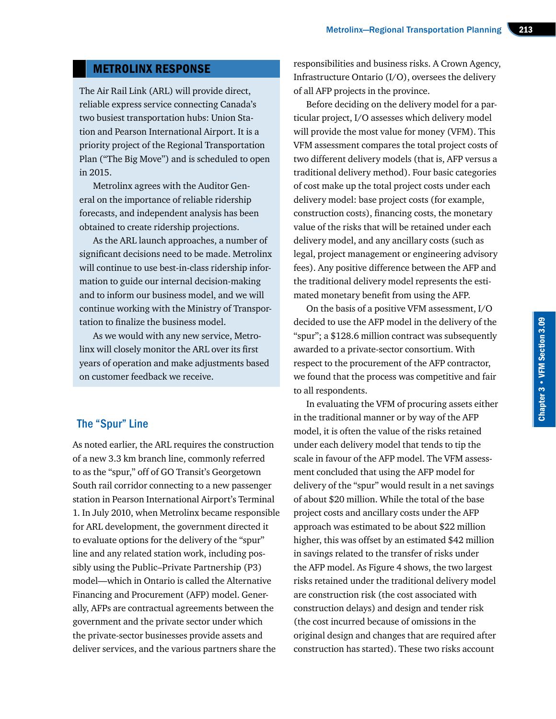# METROLINX RESPONSE

The Air Rail Link (ARL) will provide direct, reliable express service connecting Canada's two busiest transportation hubs: Union Station and Pearson International Airport. It is a priority project of the Regional Transportation Plan ("The Big Move") and is scheduled to open in 2015.

Metrolinx agrees with the Auditor General on the importance of reliable ridership forecasts, and independent analysis has been obtained to create ridership projections.

As the ARL launch approaches, a number of significant decisions need to be made. Metrolinx will continue to use best-in-class ridership information to guide our internal decision-making and to inform our business model, and we will continue working with the Ministry of Transportation to finalize the business model.

As we would with any new service, Metrolinx will closely monitor the ARL over its first years of operation and make adjustments based on customer feedback we receive.

## The "Spur" Line

As noted earlier, the ARL requires the construction of a new 3.3 km branch line, commonly referred to as the "spur," off of GO Transit's Georgetown South rail corridor connecting to a new passenger station in Pearson International Airport's Terminal 1. In July 2010, when Metrolinx became responsible for ARL development, the government directed it to evaluate options for the delivery of the "spur" line and any related station work, including possibly using the Public–Private Partnership (P3) model—which in Ontario is called the Alternative Financing and Procurement (AFP) model. Generally, AFPs are contractual agreements between the government and the private sector under which the private-sector businesses provide assets and deliver services, and the various partners share the

responsibilities and business risks. A Crown Agency, Infrastructure Ontario (I/O), oversees the delivery of all AFP projects in the province.

Before deciding on the delivery model for a particular project, I/O assesses which delivery model will provide the most value for money (VFM). This VFM assessment compares the total project costs of two different delivery models (that is, AFP versus a traditional delivery method). Four basic categories of cost make up the total project costs under each delivery model: base project costs (for example, construction costs), financing costs, the monetary value of the risks that will be retained under each delivery model, and any ancillary costs (such as legal, project management or engineering advisory fees). Any positive difference between the AFP and the traditional delivery model represents the estimated monetary benefit from using the AFP.

On the basis of a positive VFM assessment, I/O decided to use the AFP model in the delivery of the "spur"; a \$128.6 million contract was subsequently awarded to a private-sector consortium. With respect to the procurement of the AFP contractor, we found that the process was competitive and fair to all respondents.

In evaluating the VFM of procuring assets either in the traditional manner or by way of the AFP model, it is often the value of the risks retained under each delivery model that tends to tip the scale in favour of the AFP model. The VFM assessment concluded that using the AFP model for delivery of the "spur" would result in a net savings of about \$20 million. While the total of the base project costs and ancillary costs under the AFP approach was estimated to be about \$22 million higher, this was offset by an estimated \$42 million in savings related to the transfer of risks under the AFP model. As Figure 4 shows, the two largest risks retained under the traditional delivery model are construction risk (the cost associated with construction delays) and design and tender risk (the cost incurred because of omissions in the original design and changes that are required after construction has started). These two risks account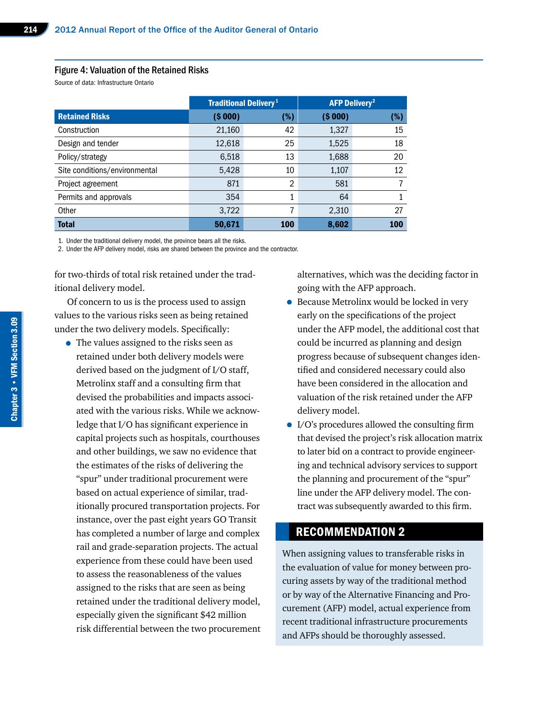#### Figure 4: Valuation of the Retained Risks

Source of data: Infrastructure Ontario

|                               | <b>Traditional Delivery</b> <sup>1</sup> |     | <b>AFP Delivery<sup>2</sup></b> |        |
|-------------------------------|------------------------------------------|-----|---------------------------------|--------|
| <b>Retained Risks</b>         | ( \$000)                                 | (%) | ( \$000)                        | $(\%)$ |
| Construction                  | 21,160                                   | 42  | 1,327                           | 15     |
| Design and tender             | 12,618                                   | 25  | 1,525                           | 18     |
| Policy/strategy               | 6,518                                    | 13  | 1,688                           | 20     |
| Site conditions/environmental | 5,428                                    | 10  | 1,107                           | 12     |
| Project agreement             | 871                                      | 2   | 581                             |        |
| Permits and approvals         | 354                                      | 1   | 64                              |        |
| Other                         | 3,722                                    | 7   | 2,310                           | 27     |
| <b>Total</b>                  | 50,671                                   | 100 | 8,602                           | 100    |

1. Under the traditional delivery model, the province bears all the risks.

2. Under the AFP delivery model, risks are shared between the province and the contractor.

for two-thirds of total risk retained under the traditional delivery model.

Of concern to us is the process used to assign values to the various risks seen as being retained under the two delivery models. Specifically:

• The values assigned to the risks seen as retained under both delivery models were derived based on the judgment of I/O staff, Metrolinx staff and a consulting firm that devised the probabilities and impacts associated with the various risks. While we acknowledge that I/O has significant experience in capital projects such as hospitals, courthouses and other buildings, we saw no evidence that the estimates of the risks of delivering the "spur" under traditional procurement were based on actual experience of similar, traditionally procured transportation projects. For instance, over the past eight years GO Transit has completed a number of large and complex rail and grade-separation projects. The actual experience from these could have been used to assess the reasonableness of the values assigned to the risks that are seen as being retained under the traditional delivery model, especially given the significant \$42 million risk differential between the two procurement alternatives, which was the deciding factor in going with the AFP approach.

- Because Metrolinx would be locked in very early on the specifications of the project under the AFP model, the additional cost that could be incurred as planning and design progress because of subsequent changes identified and considered necessary could also have been considered in the allocation and valuation of the risk retained under the AFP delivery model.
- I/O's procedures allowed the consulting firm that devised the project's risk allocation matrix to later bid on a contract to provide engineering and technical advisory services to support the planning and procurement of the "spur" line under the AFP delivery model. The contract was subsequently awarded to this firm.

# RECOMMENDATION 2

When assigning values to transferable risks in the evaluation of value for money between procuring assets by way of the traditional method or by way of the Alternative Financing and Procurement (AFP) model, actual experience from recent traditional infrastructure procurements and AFPs should be thoroughly assessed.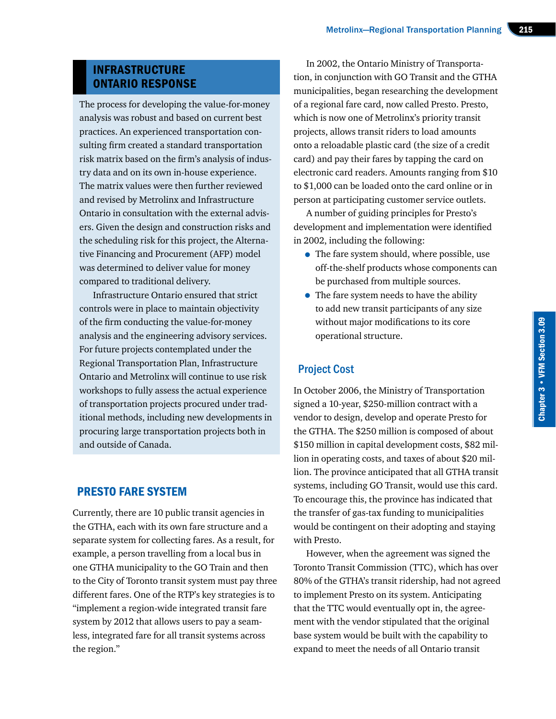# INFRASTRUCTURE ONTARIO RESPONSE

The process for developing the value-for-money analysis was robust and based on current best practices. An experienced transportation consulting firm created a standard transportation risk matrix based on the firm's analysis of industry data and on its own in-house experience. The matrix values were then further reviewed and revised by Metrolinx and Infrastructure Ontario in consultation with the external advisers. Given the design and construction risks and the scheduling risk for this project, the Alternative Financing and Procurement (AFP) model was determined to deliver value for money compared to traditional delivery.

Infrastructure Ontario ensured that strict controls were in place to maintain objectivity of the firm conducting the value-for-money analysis and the engineering advisory services. For future projects contemplated under the Regional Transportation Plan, Infrastructure Ontario and Metrolinx will continue to use risk workshops to fully assess the actual experience of transportation projects procured under traditional methods, including new developments in procuring large transportation projects both in and outside of Canada.

# PRESTO FARE SYSTEM

Currently, there are 10 public transit agencies in the GTHA, each with its own fare structure and a separate system for collecting fares. As a result, for example, a person travelling from a local bus in one GTHA municipality to the GO Train and then to the City of Toronto transit system must pay three different fares. One of the RTP's key strategies is to "implement a region-wide integrated transit fare system by 2012 that allows users to pay a seamless, integrated fare for all transit systems across the region."

In 2002, the Ontario Ministry of Transportation, in conjunction with GO Transit and the GTHA municipalities, began researching the development of a regional fare card, now called Presto. Presto, which is now one of Metrolinx's priority transit projects, allows transit riders to load amounts onto a reloadable plastic card (the size of a credit card) and pay their fares by tapping the card on electronic card readers. Amounts ranging from \$10 to \$1,000 can be loaded onto the card online or in person at participating customer service outlets.

A number of guiding principles for Presto's development and implementation were identified in 2002, including the following:

- The fare system should, where possible, use off-the-shelf products whose components can be purchased from multiple sources.
- The fare system needs to have the ability to add new transit participants of any size without major modifications to its core operational structure.

# Project Cost

In October 2006, the Ministry of Transportation signed a 10-year, \$250-million contract with a vendor to design, develop and operate Presto for the GTHA. The \$250 million is composed of about \$150 million in capital development costs, \$82 million in operating costs, and taxes of about \$20 million. The province anticipated that all GTHA transit systems, including GO Transit, would use this card. To encourage this, the province has indicated that the transfer of gas-tax funding to municipalities would be contingent on their adopting and staying with Presto.

However, when the agreement was signed the Toronto Transit Commission (TTC), which has over 80% of the GTHA's transit ridership, had not agreed to implement Presto on its system. Anticipating that the TTC would eventually opt in, the agreement with the vendor stipulated that the original base system would be built with the capability to expand to meet the needs of all Ontario transit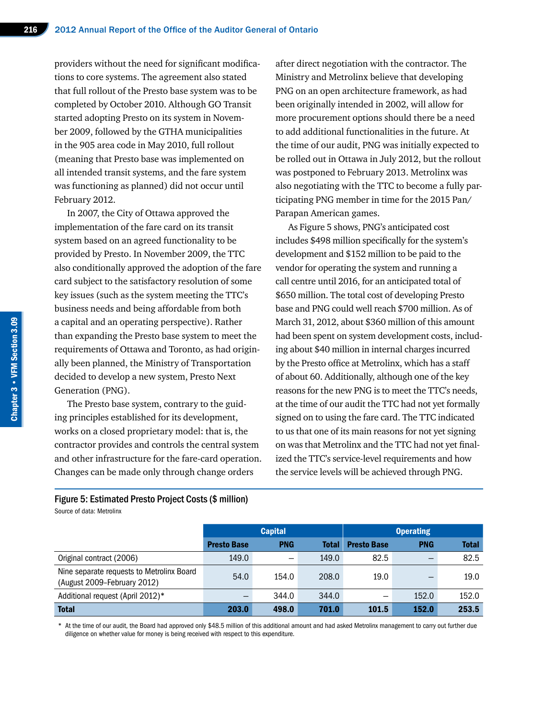providers without the need for significant modifications to core systems. The agreement also stated that full rollout of the Presto base system was to be completed by October 2010. Although GO Transit started adopting Presto on its system in November 2009, followed by the GTHA municipalities in the 905 area code in May 2010, full rollout (meaning that Presto base was implemented on all intended transit systems, and the fare system was functioning as planned) did not occur until February 2012.

In 2007, the City of Ottawa approved the implementation of the fare card on its transit system based on an agreed functionality to be provided by Presto. In November 2009, the TTC also conditionally approved the adoption of the fare card subject to the satisfactory resolution of some key issues (such as the system meeting the TTC's business needs and being affordable from both a capital and an operating perspective). Rather than expanding the Presto base system to meet the requirements of Ottawa and Toronto, as had originally been planned, the Ministry of Transportation decided to develop a new system, Presto Next Generation (PNG).

The Presto base system, contrary to the guiding principles established for its development, works on a closed proprietary model: that is, the contractor provides and controls the central system and other infrastructure for the fare-card operation. Changes can be made only through change orders

after direct negotiation with the contractor. The Ministry and Metrolinx believe that developing PNG on an open architecture framework, as had been originally intended in 2002, will allow for more procurement options should there be a need to add additional functionalities in the future. At the time of our audit, PNG was initially expected to be rolled out in Ottawa in July 2012, but the rollout was postponed to February 2013. Metrolinx was also negotiating with the TTC to become a fully participating PNG member in time for the 2015 Pan/ Parapan American games.

As Figure 5 shows, PNG's anticipated cost includes \$498 million specifically for the system's development and \$152 million to be paid to the vendor for operating the system and running a call centre until 2016, for an anticipated total of \$650 million. The total cost of developing Presto base and PNG could well reach \$700 million. As of March 31, 2012, about \$360 million of this amount had been spent on system development costs, including about \$40 million in internal charges incurred by the Presto office at Metrolinx, which has a staff of about 60. Additionally, although one of the key reasons for the new PNG is to meet the TTC's needs, at the time of our audit the TTC had not yet formally signed on to using the fare card. The TTC indicated to us that one of its main reasons for not yet signing on was that Metrolinx and the TTC had not yet finalized the TTC's service-level requirements and how the service levels will be achieved through PNG.

# Figure 5: Estimated Presto Project Costs (\$ million)

Source of data: Metrolinx

|                                                                          | <b>Capital</b>     |            |              | <b>Operating</b>   |            |              |
|--------------------------------------------------------------------------|--------------------|------------|--------------|--------------------|------------|--------------|
|                                                                          | <b>Presto Base</b> | <b>PNG</b> | <b>Total</b> | <b>Presto Base</b> | <b>PNG</b> | <b>Total</b> |
| Original contract (2006)                                                 | 149.0              |            | 149.0        | 82.5               | –          | 82.5         |
| Nine separate requests to Metrolinx Board<br>(August 2009-February 2012) | 54.0               | 154.0      | 208.0        | 19.0               |            | 19.0         |
| Additional request (April 2012)*                                         |                    | 344.0      | 344.0        |                    | 152.0      | 152.0        |
| <b>Total</b>                                                             | 203.0              | 498.0      | 701.0        | 101.5              | 152.0      | 253.5        |

\* At the time of our audit, the Board had approved only \$48.5 million of this additional amount and had asked Metrolinx management to carry out further due diligence on whether value for money is being received with respect to this expenditure.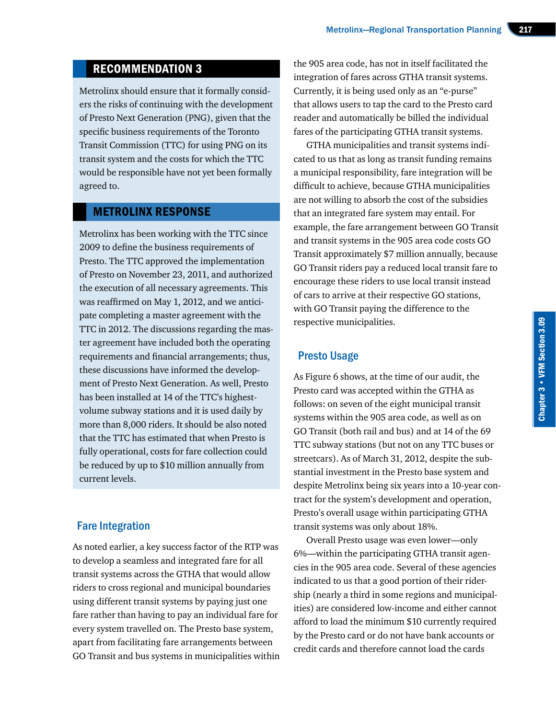# RECOMMENDATION 3

Metrolinx should ensure that it formally considers the risks of continuing with the development of Presto Next Generation (PNG), given that the specific business requirements of the Toronto Transit Commission (TTC) for using PNG on its transit system and the costs for which the TTC would be responsible have not yet been formally agreed to.

#### METROLINX RESPONSE

Metrolinx has been working with the TTC since 2009 to define the business requirements of Presto. The TTC approved the implementation of Presto on November 23, 2011, and authorized the execution of all necessary agreements. This was reaffirmed on May 1, 2012, and we anticipate completing a master agreement with the TTC in 2012. The discussions regarding the master agreement have included both the operating requirements and financial arrangements; thus, these discussions have informed the development of Presto Next Generation. As well, Presto has been installed at 14 of the TTC's highestvolume subway stations and it is used daily by more than 8,000 riders. It should be also noted that the TTC has estimated that when Presto is fully operational, costs for fare collection could be reduced by up to \$10 million annually from current levels.

# Fare Integration

As noted earlier, a key success factor of the RTP was to develop a seamless and integrated fare for all transit systems across the GTHA that would allow riders to cross regional and municipal boundaries using different transit systems by paying just one fare rather than having to pay an individual fare for every system travelled on. The Presto base system, apart from facilitating fare arrangements between GO Transit and bus systems in municipalities within

the 905 area code, has not in itself facilitated the integration of fares across GTHA transit systems. Currently, it is being used only as an "e-purse" that allows users to tap the card to the Presto card reader and automatically be billed the individual fares of the participating GTHA transit systems.

GTHA municipalities and transit systems indicated to us that as long as transit funding remains a municipal responsibility, fare integration will be difficult to achieve, because GTHA municipalities are not willing to absorb the cost of the subsidies that an integrated fare system may entail. For example, the fare arrangement between GO Transit and transit systems in the 905 area code costs GO Transit approximately \$7 million annually, because GO Transit riders pay a reduced local transit fare to encourage these riders to use local transit instead of cars to arrive at their respective GO stations, with GO Transit paying the difference to the respective municipalities.

# Presto Usage

As Figure 6 shows, at the time of our audit, the Presto card was accepted within the GTHA as follows: on seven of the eight municipal transit systems within the 905 area code, as well as on GO Transit (both rail and bus) and at 14 of the 69 TTC subway stations (but not on any TTC buses or streetcars). As of March 31, 2012, despite the substantial investment in the Presto base system and despite Metrolinx being six years into a 10-year contract for the system's development and operation, Presto's overall usage within participating GTHA transit systems was only about 18%.

Overall Presto usage was even lower—only 6%—within the participating GTHA transit agencies in the 905 area code. Several of these agencies indicated to us that a good portion of their ridership (nearly a third in some regions and municipalities) are considered low-income and either cannot afford to load the minimum \$10 currently required by the Presto card or do not have bank accounts or credit cards and therefore cannot load the cards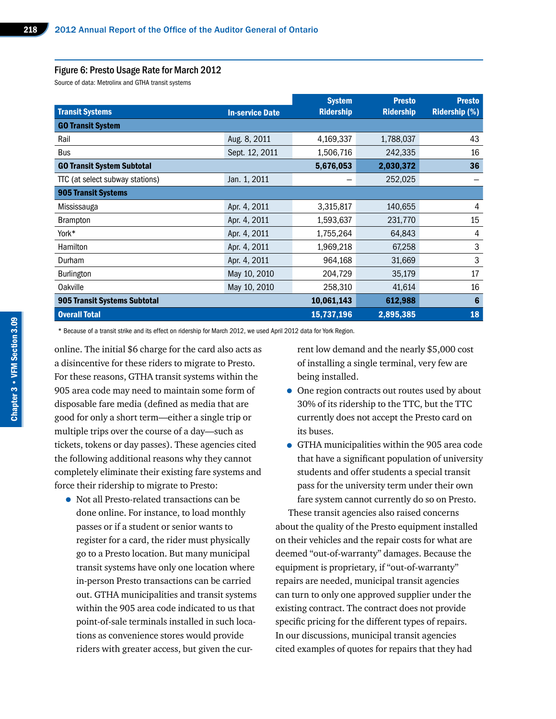#### Figure 6: Presto Usage Rate for March 2012

Source of data: Metrolinx and GTHA transit systems

|                                   |                        | <b>System</b>    | <b>Presto</b>    | <b>Presto</b>        |  |  |
|-----------------------------------|------------------------|------------------|------------------|----------------------|--|--|
| <b>Transit Systems</b>            | <b>In-service Date</b> | <b>Ridership</b> | <b>Ridership</b> | <b>Ridership (%)</b> |  |  |
| <b>GO Transit System</b>          |                        |                  |                  |                      |  |  |
| Rail                              | Aug. 8, 2011           | 4,169,337        | 1,788,037        | 43                   |  |  |
| Bus                               | Sept. 12, 2011         | 1,506,716        | 242,335          | 16                   |  |  |
| <b>GO Transit System Subtotal</b> |                        | 5,676,053        | 2,030,372        | 36                   |  |  |
| TTC (at select subway stations)   | Jan. 1, 2011           |                  | 252,025          |                      |  |  |
| <b>905 Transit Systems</b>        |                        |                  |                  |                      |  |  |
| Mississauga                       | Apr. 4, 2011           | 3,315,817        | 140,655          | 4                    |  |  |
| <b>Brampton</b>                   | Apr. 4, 2011           | 1,593,637        | 231,770          | 15                   |  |  |
| York*                             | Apr. 4, 2011           | 1,755,264        | 64,843           | 4                    |  |  |
| Hamilton                          | Apr. 4, 2011           | 1,969,218        | 67,258           | 3                    |  |  |
| Durham                            | Apr. 4, 2011           | 964,168          | 31,669           | 3                    |  |  |
| <b>Burlington</b>                 | May 10, 2010           | 204,729          | 35,179           | 17                   |  |  |
| Oakville                          | May 10, 2010           | 258,310          | 41,614           | 16                   |  |  |
| 905 Transit Systems Subtotal      |                        | 10,061,143       | 612,988          | 6                    |  |  |
| <b>Overall Total</b>              |                        | 15,737,196       | 2,895,385        | 18                   |  |  |

\* Because of a transit strike and its effect on ridership for March 2012, we used April 2012 data for York Region.

online. The initial \$6 charge for the card also acts as a disincentive for these riders to migrate to Presto. For these reasons, GTHA transit systems within the 905 area code may need to maintain some form of disposable fare media (defined as media that are good for only a short term—either a single trip or multiple trips over the course of a day—such as tickets, tokens or day passes). These agencies cited the following additional reasons why they cannot completely eliminate their existing fare systems and force their ridership to migrate to Presto:

• Not all Presto-related transactions can be done online. For instance, to load monthly passes or if a student or senior wants to register for a card, the rider must physically go to a Presto location. But many municipal transit systems have only one location where in-person Presto transactions can be carried out. GTHA municipalities and transit systems within the 905 area code indicated to us that point-of-sale terminals installed in such locations as convenience stores would provide riders with greater access, but given the current low demand and the nearly \$5,000 cost of installing a single terminal, very few are being installed.

- One region contracts out routes used by about 30% of its ridership to the TTC, but the TTC currently does not accept the Presto card on its buses.
- GTHA municipalities within the 905 area code that have a significant population of university students and offer students a special transit pass for the university term under their own fare system cannot currently do so on Presto.

These transit agencies also raised concerns about the quality of the Presto equipment installed on their vehicles and the repair costs for what are deemed "out-of-warranty" damages. Because the equipment is proprietary, if "out-of-warranty" repairs are needed, municipal transit agencies can turn to only one approved supplier under the existing contract. The contract does not provide specific pricing for the different types of repairs. In our discussions, municipal transit agencies cited examples of quotes for repairs that they had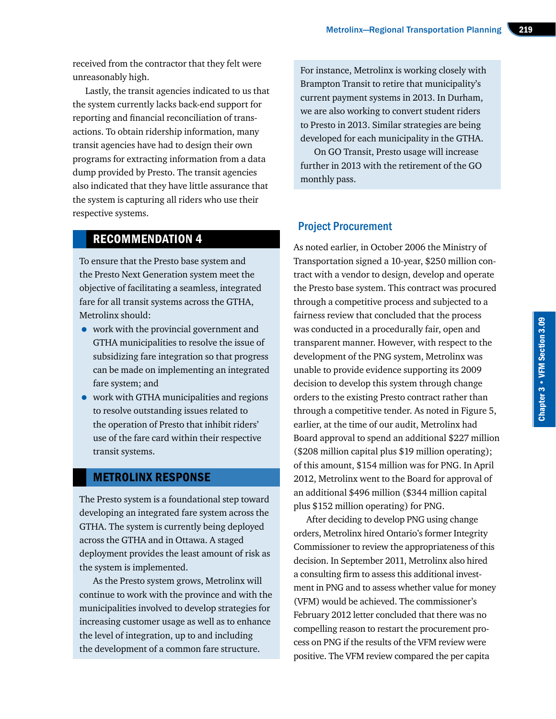received from the contractor that they felt were unreasonably high.

Lastly, the transit agencies indicated to us that the system currently lacks back-end support for reporting and financial reconciliation of transactions. To obtain ridership information, many transit agencies have had to design their own programs for extracting information from a data dump provided by Presto. The transit agencies also indicated that they have little assurance that the system is capturing all riders who use their respective systems.

# RECOMMENDATION 4

To ensure that the Presto base system and the Presto Next Generation system meet the objective of facilitating a seamless, integrated fare for all transit systems across the GTHA, Metrolinx should:

- work with the provincial government and GTHA municipalities to resolve the issue of subsidizing fare integration so that progress can be made on implementing an integrated fare system; and
- work with GTHA municipalities and regions to resolve outstanding issues related to the operation of Presto that inhibit riders' use of the fare card within their respective transit systems.

## METROLINX RESPONSE

The Presto system is a foundational step toward developing an integrated fare system across the GTHA. The system is currently being deployed across the GTHA and in Ottawa. A staged deployment provides the least amount of risk as the system is implemented.

As the Presto system grows, Metrolinx will continue to work with the province and with the municipalities involved to develop strategies for increasing customer usage as well as to enhance the level of integration, up to and including the development of a common fare structure.

For instance, Metrolinx is working closely with Brampton Transit to retire that municipality's current payment systems in 2013. In Durham, we are also working to convert student riders to Presto in 2013. Similar strategies are being developed for each municipality in the GTHA.

On GO Transit, Presto usage will increase further in 2013 with the retirement of the GO monthly pass.

# Project Procurement

As noted earlier, in October 2006 the Ministry of Transportation signed a 10-year, \$250 million contract with a vendor to design, develop and operate the Presto base system. This contract was procured through a competitive process and subjected to a fairness review that concluded that the process was conducted in a procedurally fair, open and transparent manner. However, with respect to the development of the PNG system, Metrolinx was unable to provide evidence supporting its 2009 decision to develop this system through change orders to the existing Presto contract rather than through a competitive tender. As noted in Figure 5, earlier, at the time of our audit, Metrolinx had Board approval to spend an additional \$227 million (\$208 million capital plus \$19 million operating); of this amount, \$154 million was for PNG. In April 2012, Metrolinx went to the Board for approval of an additional \$496 million (\$344 million capital plus \$152 million operating) for PNG.

After deciding to develop PNG using change orders, Metrolinx hired Ontario's former Integrity Commissioner to review the appropriateness of this decision. In September 2011, Metrolinx also hired a consulting firm to assess this additional investment in PNG and to assess whether value for money (VFM) would be achieved. The commissioner's February 2012 letter concluded that there was no compelling reason to restart the procurement process on PNG if the results of the VFM review were positive. The VFM review compared the per capita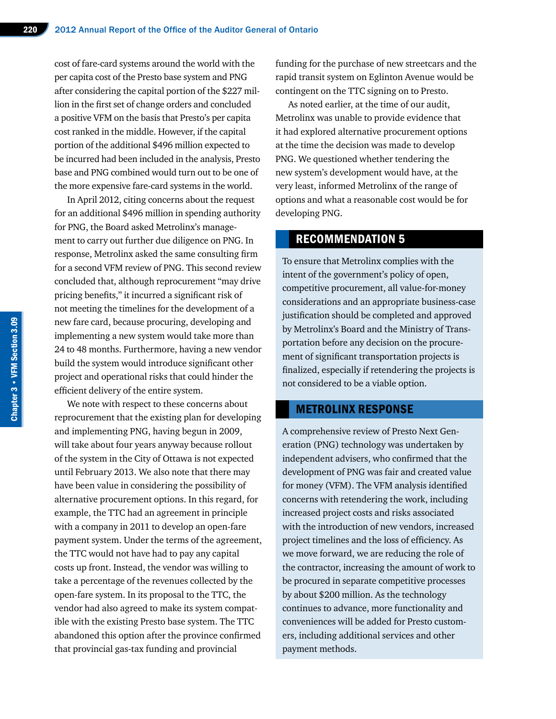cost of fare-card systems around the world with the per capita cost of the Presto base system and PNG after considering the capital portion of the \$227 million in the first set of change orders and concluded a positive VFM on the basis that Presto's per capita cost ranked in the middle. However, if the capital portion of the additional \$496 million expected to be incurred had been included in the analysis, Presto base and PNG combined would turn out to be one of the more expensive fare-card systems in the world.

In April 2012, citing concerns about the request for an additional \$496 million in spending authority for PNG, the Board asked Metrolinx's management to carry out further due diligence on PNG. In response, Metrolinx asked the same consulting firm for a second VFM review of PNG. This second review concluded that, although reprocurement "may drive pricing benefits," it incurred a significant risk of not meeting the timelines for the development of a new fare card, because procuring, developing and implementing a new system would take more than 24 to 48 months. Furthermore, having a new vendor build the system would introduce significant other project and operational risks that could hinder the efficient delivery of the entire system.

We note with respect to these concerns about reprocurement that the existing plan for developing and implementing PNG, having begun in 2009, will take about four years anyway because rollout of the system in the City of Ottawa is not expected until February 2013. We also note that there may have been value in considering the possibility of alternative procurement options. In this regard, for example, the TTC had an agreement in principle with a company in 2011 to develop an open-fare payment system. Under the terms of the agreement, the TTC would not have had to pay any capital costs up front. Instead, the vendor was willing to take a percentage of the revenues collected by the open-fare system. In its proposal to the TTC, the vendor had also agreed to make its system compatible with the existing Presto base system. The TTC abandoned this option after the province confirmed that provincial gas-tax funding and provincial

funding for the purchase of new streetcars and the rapid transit system on Eglinton Avenue would be contingent on the TTC signing on to Presto.

As noted earlier, at the time of our audit, Metrolinx was unable to provide evidence that it had explored alternative procurement options at the time the decision was made to develop PNG. We questioned whether tendering the new system's development would have, at the very least, informed Metrolinx of the range of options and what a reasonable cost would be for developing PNG.

# RECOMMENDATION 5

To ensure that Metrolinx complies with the intent of the government's policy of open, competitive procurement, all value-for-money considerations and an appropriate business-case justification should be completed and approved by Metrolinx's Board and the Ministry of Transportation before any decision on the procurement of significant transportation projects is finalized, especially if retendering the projects is not considered to be a viable option.

#### METROLINX RESPONSE

A comprehensive review of Presto Next Generation (PNG) technology was undertaken by independent advisers, who confirmed that the development of PNG was fair and created value for money (VFM). The VFM analysis identified concerns with retendering the work, including increased project costs and risks associated with the introduction of new vendors, increased project timelines and the loss of efficiency. As we move forward, we are reducing the role of the contractor, increasing the amount of work to be procured in separate competitive processes by about \$200 million. As the technology continues to advance, more functionality and conveniences will be added for Presto customers, including additional services and other payment methods.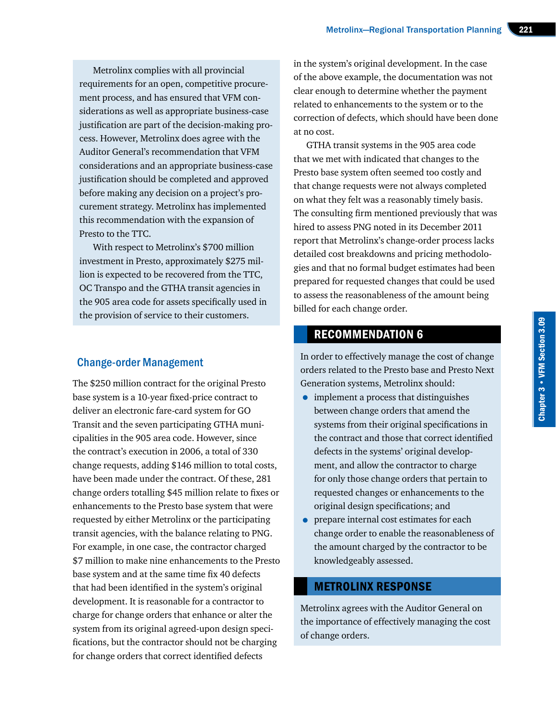Metrolinx complies with all provincial requirements for an open, competitive procurement process, and has ensured that VFM considerations as well as appropriate business-case justification are part of the decision-making process. However, Metrolinx does agree with the Auditor General's recommendation that VFM considerations and an appropriate business-case justification should be completed and approved before making any decision on a project's procurement strategy. Metrolinx has implemented this recommendation with the expansion of Presto to the TTC.

With respect to Metrolinx's \$700 million investment in Presto, approximately \$275 million is expected to be recovered from the TTC, OC Transpo and the GTHA transit agencies in the 905 area code for assets specifically used in the provision of service to their customers.

# Change-order Management

The \$250 million contract for the original Presto base system is a 10-year fixed-price contract to deliver an electronic fare-card system for GO Transit and the seven participating GTHA municipalities in the 905 area code. However, since the contract's execution in 2006, a total of 330 change requests, adding \$146 million to total costs, have been made under the contract. Of these, 281 change orders totalling \$45 million relate to fixes or enhancements to the Presto base system that were requested by either Metrolinx or the participating transit agencies, with the balance relating to PNG. For example, in one case, the contractor charged \$7 million to make nine enhancements to the Presto base system and at the same time fix 40 defects that had been identified in the system's original development. It is reasonable for a contractor to charge for change orders that enhance or alter the system from its original agreed-upon design specifications, but the contractor should not be charging for change orders that correct identified defects

in the system's original development. In the case of the above example, the documentation was not clear enough to determine whether the payment related to enhancements to the system or to the correction of defects, which should have been done at no cost.

GTHA transit systems in the 905 area code that we met with indicated that changes to the Presto base system often seemed too costly and that change requests were not always completed on what they felt was a reasonably timely basis. The consulting firm mentioned previously that was hired to assess PNG noted in its December 2011 report that Metrolinx's change-order process lacks detailed cost breakdowns and pricing methodologies and that no formal budget estimates had been prepared for requested changes that could be used to assess the reasonableness of the amount being billed for each change order.

# RECOMMENDATION 6

In order to effectively manage the cost of change orders related to the Presto base and Presto Next Generation systems, Metrolinx should:

- implement a process that distinguishes between change orders that amend the systems from their original specifications in the contract and those that correct identified defects in the systems' original development, and allow the contractor to charge for only those change orders that pertain to requested changes or enhancements to the original design specifications; and
- **•** prepare internal cost estimates for each change order to enable the reasonableness of the amount charged by the contractor to be knowledgeably assessed.

# METROLINX RESPONSE

Metrolinx agrees with the Auditor General on the importance of effectively managing the cost of change orders.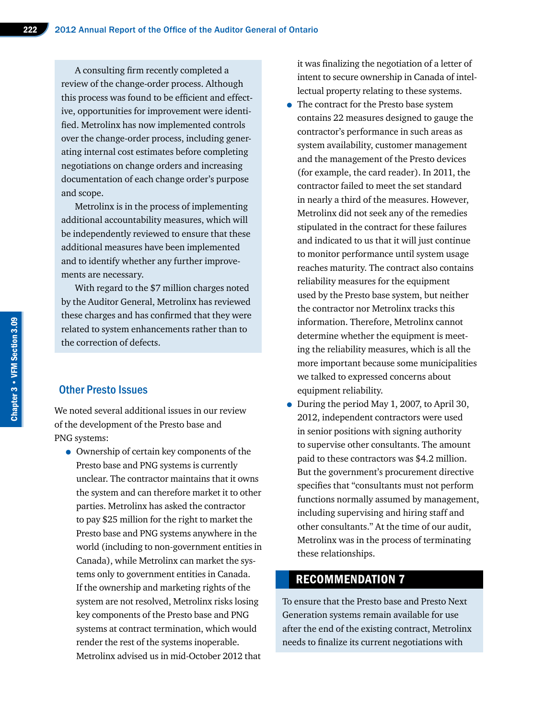A consulting firm recently completed a review of the change-order process. Although this process was found to be efficient and effective, opportunities for improvement were identified. Metrolinx has now implemented controls over the change-order process, including generating internal cost estimates before completing negotiations on change orders and increasing documentation of each change order's purpose and scope.

Metrolinx is in the process of implementing additional accountability measures, which will be independently reviewed to ensure that these additional measures have been implemented and to identify whether any further improvements are necessary.

With regard to the \$7 million charges noted by the Auditor General, Metrolinx has reviewed these charges and has confirmed that they were related to system enhancements rather than to the correction of defects.

## Other Presto Issues

We noted several additional issues in our review of the development of the Presto base and PNG systems:

• Ownership of certain key components of the Presto base and PNG systems is currently unclear. The contractor maintains that it owns the system and can therefore market it to other parties. Metrolinx has asked the contractor to pay \$25 million for the right to market the Presto base and PNG systems anywhere in the world (including to non-government entities in Canada), while Metrolinx can market the systems only to government entities in Canada. If the ownership and marketing rights of the system are not resolved, Metrolinx risks losing key components of the Presto base and PNG systems at contract termination, which would render the rest of the systems inoperable. Metrolinx advised us in mid-October 2012 that

it was finalizing the negotiation of a letter of intent to secure ownership in Canada of intellectual property relating to these systems.

- The contract for the Presto base system contains 22 measures designed to gauge the contractor's performance in such areas as system availability, customer management and the management of the Presto devices (for example, the card reader). In 2011, the contractor failed to meet the set standard in nearly a third of the measures. However, Metrolinx did not seek any of the remedies stipulated in the contract for these failures and indicated to us that it will just continue to monitor performance until system usage reaches maturity. The contract also contains reliability measures for the equipment used by the Presto base system, but neither the contractor nor Metrolinx tracks this information. Therefore, Metrolinx cannot determine whether the equipment is meeting the reliability measures, which is all the more important because some municipalities we talked to expressed concerns about equipment reliability.
- During the period May 1, 2007, to April 30, 2012, independent contractors were used in senior positions with signing authority to supervise other consultants. The amount paid to these contractors was \$4.2 million. But the government's procurement directive specifies that "consultants must not perform functions normally assumed by management, including supervising and hiring staff and other consultants." At the time of our audit, Metrolinx was in the process of terminating these relationships.

# RECOMMENDATION 7

To ensure that the Presto base and Presto Next Generation systems remain available for use after the end of the existing contract, Metrolinx needs to finalize its current negotiations with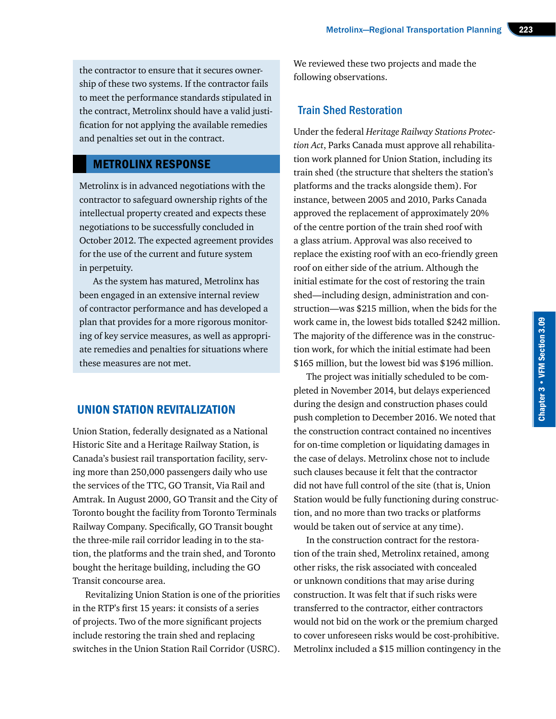the contractor to ensure that it secures ownership of these two systems. If the contractor fails to meet the performance standards stipulated in the contract, Metrolinx should have a valid justification for not applying the available remedies and penalties set out in the contract.

# METROLINX RESPONSE

Metrolinx is in advanced negotiations with the contractor to safeguard ownership rights of the intellectual property created and expects these negotiations to be successfully concluded in October 2012. The expected agreement provides for the use of the current and future system in perpetuity.

As the system has matured, Metrolinx has been engaged in an extensive internal review of contractor performance and has developed a plan that provides for a more rigorous monitoring of key service measures, as well as appropriate remedies and penalties for situations where these measures are not met.

# UNION STATION REVITALIZATION

Union Station, federally designated as a National Historic Site and a Heritage Railway Station, is Canada's busiest rail transportation facility, serving more than 250,000 passengers daily who use the services of the TTC, GO Transit, Via Rail and Amtrak. In August 2000, GO Transit and the City of Toronto bought the facility from Toronto Terminals Railway Company. Specifically, GO Transit bought the three-mile rail corridor leading in to the station, the platforms and the train shed, and Toronto bought the heritage building, including the GO Transit concourse area.

Revitalizing Union Station is one of the priorities in the RTP's first 15 years: it consists of a series of projects. Two of the more significant projects include restoring the train shed and replacing switches in the Union Station Rail Corridor (USRC). We reviewed these two projects and made the following observations.

# Train Shed Restoration

Under the federal *Heritage Railway Stations Protection Act*, Parks Canada must approve all rehabilitation work planned for Union Station, including its train shed (the structure that shelters the station's platforms and the tracks alongside them). For instance, between 2005 and 2010, Parks Canada approved the replacement of approximately 20% of the centre portion of the train shed roof with a glass atrium. Approval was also received to replace the existing roof with an eco-friendly green roof on either side of the atrium. Although the initial estimate for the cost of restoring the train shed—including design, administration and construction—was \$215 million, when the bids for the work came in, the lowest bids totalled \$242 million. The majority of the difference was in the construction work, for which the initial estimate had been \$165 million, but the lowest bid was \$196 million.

The project was initially scheduled to be completed in November 2014, but delays experienced during the design and construction phases could push completion to December 2016. We noted that the construction contract contained no incentives for on-time completion or liquidating damages in the case of delays. Metrolinx chose not to include such clauses because it felt that the contractor did not have full control of the site (that is, Union Station would be fully functioning during construction, and no more than two tracks or platforms would be taken out of service at any time).

In the construction contract for the restoration of the train shed, Metrolinx retained, among other risks, the risk associated with concealed or unknown conditions that may arise during construction. It was felt that if such risks were transferred to the contractor, either contractors would not bid on the work or the premium charged to cover unforeseen risks would be cost-prohibitive. Metrolinx included a \$15 million contingency in the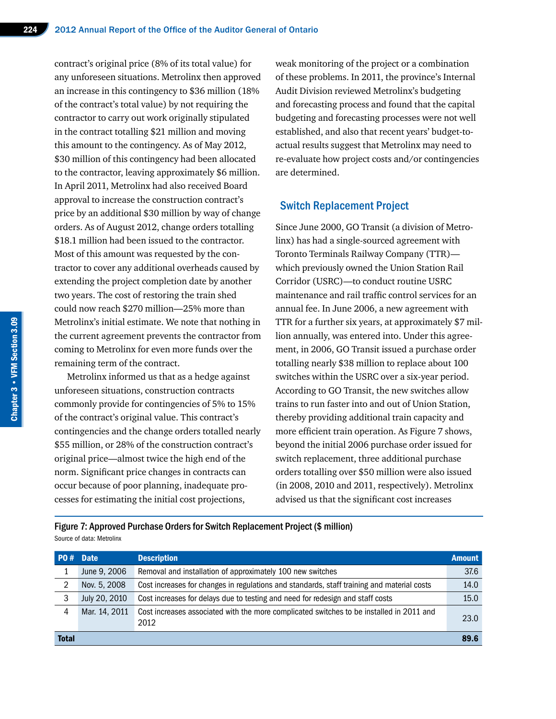contract's original price (8% of its total value) for any unforeseen situations. Metrolinx then approved an increase in this contingency to \$36 million (18% of the contract's total value) by not requiring the contractor to carry out work originally stipulated in the contract totalling \$21 million and moving this amount to the contingency. As of May 2012, \$30 million of this contingency had been allocated to the contractor, leaving approximately \$6 million. In April 2011, Metrolinx had also received Board approval to increase the construction contract's price by an additional \$30 million by way of change orders. As of August 2012, change orders totalling \$18.1 million had been issued to the contractor. Most of this amount was requested by the contractor to cover any additional overheads caused by extending the project completion date by another two years. The cost of restoring the train shed could now reach \$270 million—25% more than Metrolinx's initial estimate. We note that nothing in the current agreement prevents the contractor from coming to Metrolinx for even more funds over the remaining term of the contract.

Metrolinx informed us that as a hedge against unforeseen situations, construction contracts commonly provide for contingencies of 5% to 15% of the contract's original value. This contract's contingencies and the change orders totalled nearly \$55 million, or 28% of the construction contract's original price—almost twice the high end of the norm. Significant price changes in contracts can occur because of poor planning, inadequate processes for estimating the initial cost projections,

weak monitoring of the project or a combination of these problems. In 2011, the province's Internal Audit Division reviewed Metrolinx's budgeting and forecasting process and found that the capital budgeting and forecasting processes were not well established, and also that recent years' budget-toactual results suggest that Metrolinx may need to re-evaluate how project costs and/or contingencies are determined.

# Switch Replacement Project

Since June 2000, GO Transit (a division of Metrolinx) has had a single-sourced agreement with Toronto Terminals Railway Company (TTR) which previously owned the Union Station Rail Corridor (USRC)—to conduct routine USRC maintenance and rail traffic control services for an annual fee. In June 2006, a new agreement with TTR for a further six years, at approximately \$7 million annually, was entered into. Under this agreement, in 2006, GO Transit issued a purchase order totalling nearly \$38 million to replace about 100 switches within the USRC over a six-year period. According to GO Transit, the new switches allow trains to run faster into and out of Union Station, thereby providing additional train capacity and more efficient train operation. As Figure 7 shows, beyond the initial 2006 purchase order issued for switch replacement, three additional purchase orders totalling over \$50 million were also issued (in 2008, 2010 and 2011, respectively). Metrolinx advised us that the significant cost increases

Figure 7: Approved Purchase Orders for Switch Replacement Project (\$ million) Source of data: Metrolinx

| P0#          | <b>Date</b>   | <b>Description</b>                                                                               | <b>Amount</b> |
|--------------|---------------|--------------------------------------------------------------------------------------------------|---------------|
|              | June 9, 2006  | Removal and installation of approximately 100 new switches                                       | 37.6          |
| 2            | Nov. 5, 2008  | Cost increases for changes in regulations and standards, staff training and material costs       | 14.0          |
| 3            | July 20, 2010 | Cost increases for delays due to testing and need for redesign and staff costs                   | 15.0          |
| 4            | Mar. 14, 2011 | Cost increases associated with the more complicated switches to be installed in 2011 and<br>2012 | 23.0          |
| <b>Total</b> |               |                                                                                                  | 89.6          |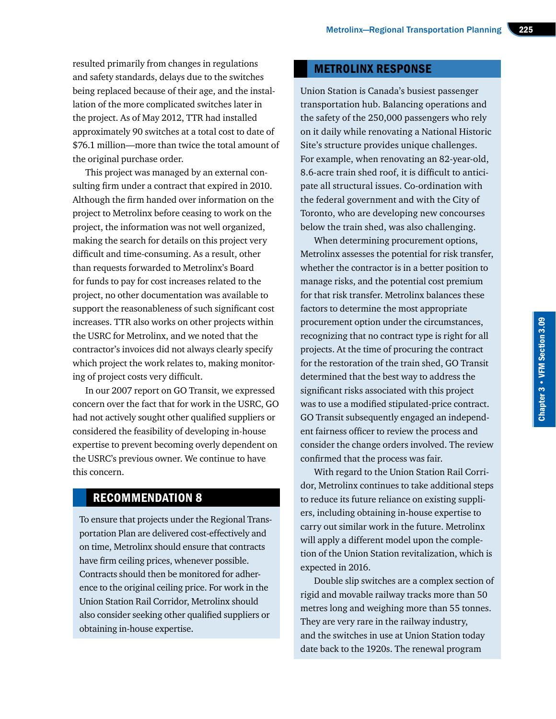resulted primarily from changes in regulations and safety standards, delays due to the switches being replaced because of their age, and the installation of the more complicated switches later in the project. As of May 2012, TTR had installed approximately 90 switches at a total cost to date of \$76.1 million—more than twice the total amount of the original purchase order.

This project was managed by an external consulting firm under a contract that expired in 2010. Although the firm handed over information on the project to Metrolinx before ceasing to work on the project, the information was not well organized, making the search for details on this project very difficult and time-consuming. As a result, other than requests forwarded to Metrolinx's Board for funds to pay for cost increases related to the project, no other documentation was available to support the reasonableness of such significant cost increases. TTR also works on other projects within the USRC for Metrolinx, and we noted that the contractor's invoices did not always clearly specify which project the work relates to, making monitoring of project costs very difficult.

In our 2007 report on GO Transit, we expressed concern over the fact that for work in the USRC, GO had not actively sought other qualified suppliers or considered the feasibility of developing in-house expertise to prevent becoming overly dependent on the USRC's previous owner. We continue to have this concern.

# RECOMMENDATION 8

To ensure that projects under the Regional Transportation Plan are delivered cost-effectively and on time, Metrolinx should ensure that contracts have firm ceiling prices, whenever possible. Contracts should then be monitored for adherence to the original ceiling price. For work in the Union Station Rail Corridor, Metrolinx should also consider seeking other qualified suppliers or obtaining in-house expertise.

# METROLINX RESPONSE

Union Station is Canada's busiest passenger transportation hub. Balancing operations and the safety of the 250,000 passengers who rely on it daily while renovating a National Historic Site's structure provides unique challenges. For example, when renovating an 82-year-old, 8.6-acre train shed roof, it is difficult to anticipate all structural issues. Co-ordination with the federal government and with the City of Toronto, who are developing new concourses below the train shed, was also challenging.

When determining procurement options, Metrolinx assesses the potential for risk transfer, whether the contractor is in a better position to manage risks, and the potential cost premium for that risk transfer. Metrolinx balances these factors to determine the most appropriate procurement option under the circumstances, recognizing that no contract type is right for all projects. At the time of procuring the contract for the restoration of the train shed, GO Transit determined that the best way to address the significant risks associated with this project was to use a modified stipulated-price contract. GO Transit subsequently engaged an independent fairness officer to review the process and consider the change orders involved. The review confirmed that the process was fair.

With regard to the Union Station Rail Corridor, Metrolinx continues to take additional steps to reduce its future reliance on existing suppliers, including obtaining in-house expertise to carry out similar work in the future. Metrolinx will apply a different model upon the completion of the Union Station revitalization, which is expected in 2016.

Double slip switches are a complex section of rigid and movable railway tracks more than 50 metres long and weighing more than 55 tonnes. They are very rare in the railway industry, and the switches in use at Union Station today date back to the 1920s. The renewal program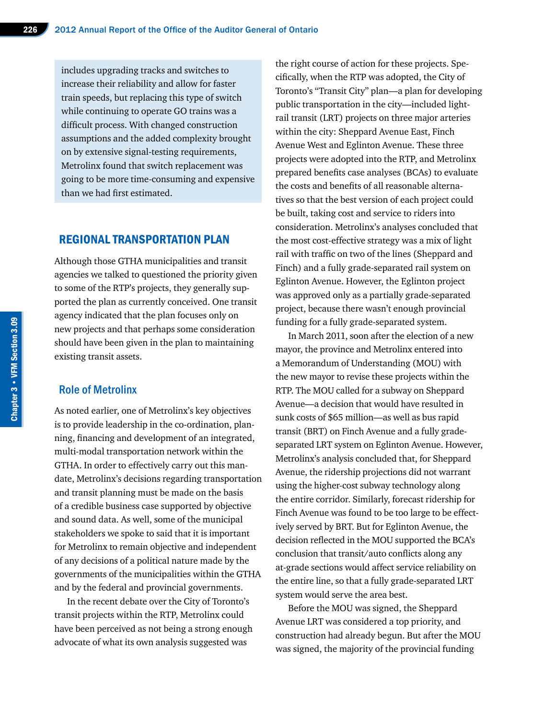includes upgrading tracks and switches to increase their reliability and allow for faster train speeds, but replacing this type of switch while continuing to operate GO trains was a difficult process. With changed construction assumptions and the added complexity brought on by extensive signal-testing requirements, Metrolinx found that switch replacement was going to be more time-consuming and expensive than we had first estimated.

## REGIONAL TRANSPORTATION PLAN

Although those GTHA municipalities and transit agencies we talked to questioned the priority given to some of the RTP's projects, they generally supported the plan as currently conceived. One transit agency indicated that the plan focuses only on new projects and that perhaps some consideration should have been given in the plan to maintaining existing transit assets.

## Role of Metrolinx

As noted earlier, one of Metrolinx's key objectives is to provide leadership in the co-ordination, planning, financing and development of an integrated, multi-modal transportation network within the GTHA. In order to effectively carry out this mandate, Metrolinx's decisions regarding transportation and transit planning must be made on the basis of a credible business case supported by objective and sound data. As well, some of the municipal stakeholders we spoke to said that it is important for Metrolinx to remain objective and independent of any decisions of a political nature made by the governments of the municipalities within the GTHA and by the federal and provincial governments.

In the recent debate over the City of Toronto's transit projects within the RTP, Metrolinx could have been perceived as not being a strong enough advocate of what its own analysis suggested was

the right course of action for these projects. Specifically, when the RTP was adopted, the City of Toronto's "Transit City" plan—a plan for developing public transportation in the city—included lightrail transit (LRT) projects on three major arteries within the city: Sheppard Avenue East, Finch Avenue West and Eglinton Avenue. These three projects were adopted into the RTP, and Metrolinx prepared benefits case analyses (BCAs) to evaluate the costs and benefits of all reasonable alternatives so that the best version of each project could be built, taking cost and service to riders into consideration. Metrolinx's analyses concluded that the most cost-effective strategy was a mix of light rail with traffic on two of the lines (Sheppard and Finch) and a fully grade-separated rail system on Eglinton Avenue. However, the Eglinton project was approved only as a partially grade-separated project, because there wasn't enough provincial funding for a fully grade-separated system.

In March 2011, soon after the election of a new mayor, the province and Metrolinx entered into a Memorandum of Understanding (MOU) with the new mayor to revise these projects within the RTP. The MOU called for a subway on Sheppard Avenue—a decision that would have resulted in sunk costs of \$65 million—as well as bus rapid transit (BRT) on Finch Avenue and a fully gradeseparated LRT system on Eglinton Avenue. However, Metrolinx's analysis concluded that, for Sheppard Avenue, the ridership projections did not warrant using the higher-cost subway technology along the entire corridor. Similarly, forecast ridership for Finch Avenue was found to be too large to be effectively served by BRT. But for Eglinton Avenue, the decision reflected in the MOU supported the BCA's conclusion that transit/auto conflicts along any at-grade sections would affect service reliability on the entire line, so that a fully grade-separated LRT system would serve the area best.

Before the MOU was signed, the Sheppard Avenue LRT was considered a top priority, and construction had already begun. But after the MOU was signed, the majority of the provincial funding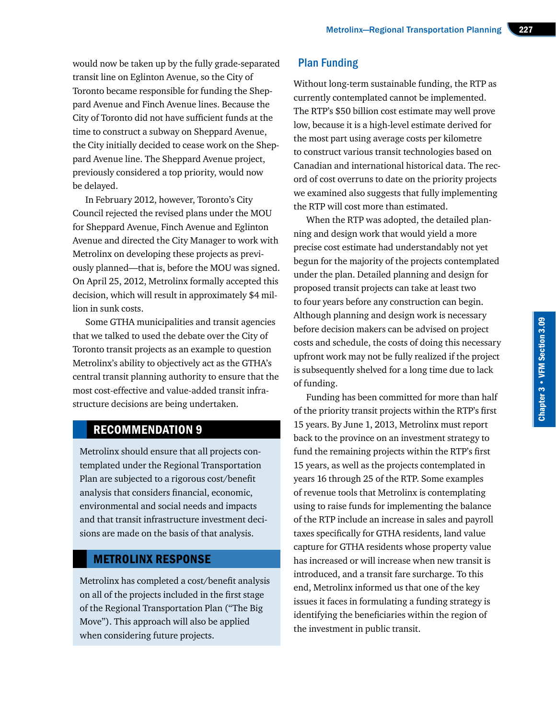would now be taken up by the fully grade-separated transit line on Eglinton Avenue, so the City of Toronto became responsible for funding the Sheppard Avenue and Finch Avenue lines. Because the City of Toronto did not have sufficient funds at the time to construct a subway on Sheppard Avenue, the City initially decided to cease work on the Sheppard Avenue line. The Sheppard Avenue project, previously considered a top priority, would now be delayed.

In February 2012, however, Toronto's City Council rejected the revised plans under the MOU for Sheppard Avenue, Finch Avenue and Eglinton Avenue and directed the City Manager to work with Metrolinx on developing these projects as previously planned—that is, before the MOU was signed. On April 25, 2012, Metrolinx formally accepted this decision, which will result in approximately \$4 million in sunk costs.

Some GTHA municipalities and transit agencies that we talked to used the debate over the City of Toronto transit projects as an example to question Metrolinx's ability to objectively act as the GTHA's central transit planning authority to ensure that the most cost-effective and value-added transit infrastructure decisions are being undertaken.

# RECOMMENDATION 9

Metrolinx should ensure that all projects contemplated under the Regional Transportation Plan are subjected to a rigorous cost/benefit analysis that considers financial, economic, environmental and social needs and impacts and that transit infrastructure investment decisions are made on the basis of that analysis.

# METROLINX RESPONSE

Metrolinx has completed a cost/benefit analysis on all of the projects included in the first stage of the Regional Transportation Plan ("The Big Move"). This approach will also be applied when considering future projects.

# Plan Funding

Without long-term sustainable funding, the RTP as currently contemplated cannot be implemented. The RTP's \$50 billion cost estimate may well prove low, because it is a high-level estimate derived for the most part using average costs per kilometre to construct various transit technologies based on Canadian and international historical data. The record of cost overruns to date on the priority projects we examined also suggests that fully implementing the RTP will cost more than estimated.

When the RTP was adopted, the detailed planning and design work that would yield a more precise cost estimate had understandably not yet begun for the majority of the projects contemplated under the plan. Detailed planning and design for proposed transit projects can take at least two to four years before any construction can begin. Although planning and design work is necessary before decision makers can be advised on project costs and schedule, the costs of doing this necessary upfront work may not be fully realized if the project is subsequently shelved for a long time due to lack of funding.

Funding has been committed for more than half of the priority transit projects within the RTP's first 15 years. By June 1, 2013, Metrolinx must report back to the province on an investment strategy to fund the remaining projects within the RTP's first 15 years, as well as the projects contemplated in years 16 through 25 of the RTP. Some examples of revenue tools that Metrolinx is contemplating using to raise funds for implementing the balance of the RTP include an increase in sales and payroll taxes specifically for GTHA residents, land value capture for GTHA residents whose property value has increased or will increase when new transit is introduced, and a transit fare surcharge. To this end, Metrolinx informed us that one of the key issues it faces in formulating a funding strategy is identifying the beneficiaries within the region of the investment in public transit.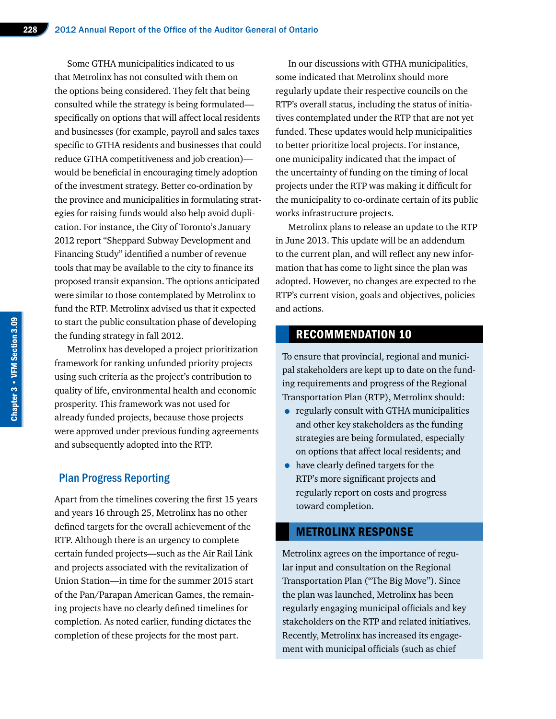Some GTHA municipalities indicated to us that Metrolinx has not consulted with them on the options being considered. They felt that being consulted while the strategy is being formulated specifically on options that will affect local residents and businesses (for example, payroll and sales taxes specific to GTHA residents and businesses that could reduce GTHA competitiveness and job creation) would be beneficial in encouraging timely adoption of the investment strategy. Better co-ordination by the province and municipalities in formulating strategies for raising funds would also help avoid duplication. For instance, the City of Toronto's January 2012 report "Sheppard Subway Development and Financing Study" identified a number of revenue tools that may be available to the city to finance its proposed transit expansion. The options anticipated were similar to those contemplated by Metrolinx to fund the RTP. Metrolinx advised us that it expected to start the public consultation phase of developing the funding strategy in fall 2012.

Metrolinx has developed a project prioritization framework for ranking unfunded priority projects using such criteria as the project's contribution to quality of life, environmental health and economic prosperity. This framework was not used for already funded projects, because those projects were approved under previous funding agreements and subsequently adopted into the RTP.

#### Plan Progress Reporting

Apart from the timelines covering the first 15 years and years 16 through 25, Metrolinx has no other defined targets for the overall achievement of the RTP. Although there is an urgency to complete certain funded projects—such as the Air Rail Link and projects associated with the revitalization of Union Station—in time for the summer 2015 start of the Pan/Parapan American Games, the remaining projects have no clearly defined timelines for completion. As noted earlier, funding dictates the completion of these projects for the most part.

In our discussions with GTHA municipalities, some indicated that Metrolinx should more regularly update their respective councils on the RTP's overall status, including the status of initiatives contemplated under the RTP that are not yet funded. These updates would help municipalities to better prioritize local projects. For instance, one municipality indicated that the impact of the uncertainty of funding on the timing of local projects under the RTP was making it difficult for the municipality to co-ordinate certain of its public works infrastructure projects.

Metrolinx plans to release an update to the RTP in June 2013. This update will be an addendum to the current plan, and will reflect any new information that has come to light since the plan was adopted. However, no changes are expected to the RTP's current vision, goals and objectives, policies and actions.

# RECOMMENDATION 10

To ensure that provincial, regional and municipal stakeholders are kept up to date on the funding requirements and progress of the Regional Transportation Plan (RTP), Metrolinx should:

- regularly consult with GTHA municipalities and other key stakeholders as the funding strategies are being formulated, especially on options that affect local residents; and
- have clearly defined targets for the RTP's more significant projects and regularly report on costs and progress toward completion.

#### METROLINX RESPONSE

Metrolinx agrees on the importance of regular input and consultation on the Regional Transportation Plan ("The Big Move"). Since the plan was launched, Metrolinx has been regularly engaging municipal officials and key stakeholders on the RTP and related initiatives. Recently, Metrolinx has increased its engagement with municipal officials (such as chief